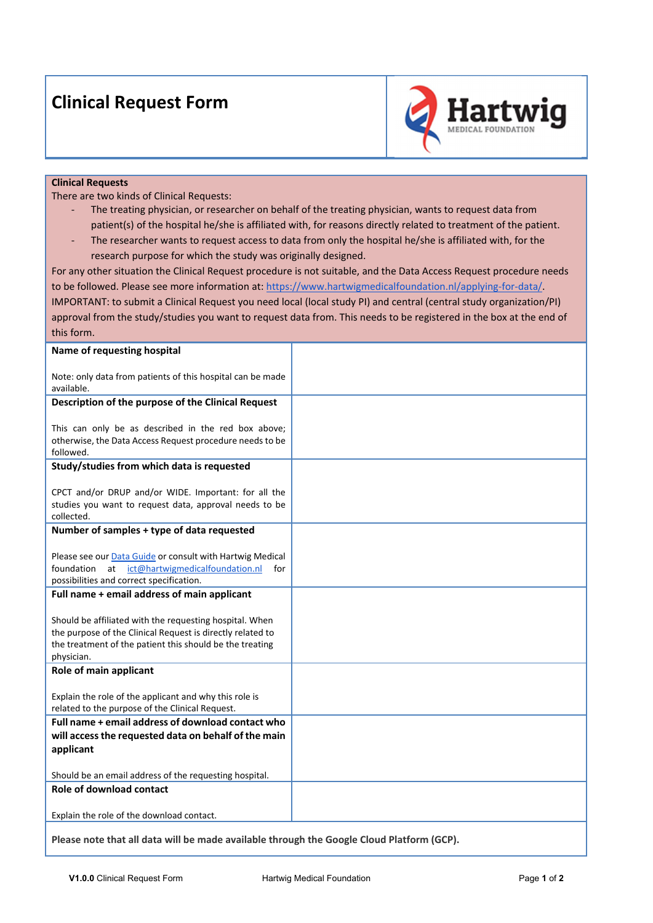## **Clinical Request Form**



## **Clinical Requests**

There are two kinds of Clinical Requests:

- The treating physician, or researcher on behalf of the treating physician, wants to request data from patient(s) of the hospital he/she is affiliated with, for reasons directly related to treatment of the patient.
- ‐ The researcher wants to request access to data from only the hospital he/she is affiliated with, for the research purpose for which the study was originally designed.

For any other situation the Clinical Request procedure is not suitable, and the Data Access Request procedure needs to be followed. Please see more information at: https://www.hartwigmedicalfoundation.nl/applying-for-data/. IMPORTANT: to submit a Clinical Request you need local (local study PI) and central (central study organization/PI) approval from the study/studies you want to request data from. This needs to be registered in the box at the end of this form.

| Name of requesting hospital                                                                                                                                                                     |  |
|-------------------------------------------------------------------------------------------------------------------------------------------------------------------------------------------------|--|
| Note: only data from patients of this hospital can be made<br>available.                                                                                                                        |  |
| Description of the purpose of the Clinical Request                                                                                                                                              |  |
| This can only be as described in the red box above;<br>otherwise, the Data Access Request procedure needs to be<br>followed.                                                                    |  |
| Study/studies from which data is requested                                                                                                                                                      |  |
| CPCT and/or DRUP and/or WIDE. Important: for all the<br>studies you want to request data, approval needs to be<br>collected.                                                                    |  |
| Number of samples + type of data requested                                                                                                                                                      |  |
| Please see our Data Guide or consult with Hartwig Medical<br>ict@hartwigmedicalfoundation.nl<br>foundation<br>at<br>for<br>possibilities and correct specification.                             |  |
| Full name + email address of main applicant                                                                                                                                                     |  |
| Should be affiliated with the requesting hospital. When<br>the purpose of the Clinical Request is directly related to<br>the treatment of the patient this should be the treating<br>physician. |  |
| Role of main applicant                                                                                                                                                                          |  |
| Explain the role of the applicant and why this role is<br>related to the purpose of the Clinical Request.                                                                                       |  |
| Full name + email address of download contact who                                                                                                                                               |  |
| will access the requested data on behalf of the main                                                                                                                                            |  |
| applicant                                                                                                                                                                                       |  |
| Should be an email address of the requesting hospital.                                                                                                                                          |  |
| <b>Role of download contact</b>                                                                                                                                                                 |  |
| Explain the role of the download contact.                                                                                                                                                       |  |
|                                                                                                                                                                                                 |  |

**Please note that all data will be made available through the Google Cloud Platform (GCP).**